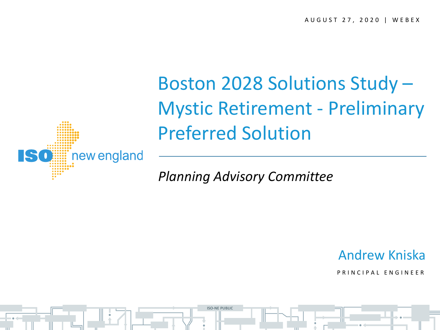

Boston 2028 Solutions Study – Mystic Retirement - Preliminary Preferred Solution

*Planning Advisory Committee*

**ISO-NE PUBLIC**

Andrew Kniska

P R I N C I P A L F N G I N F F R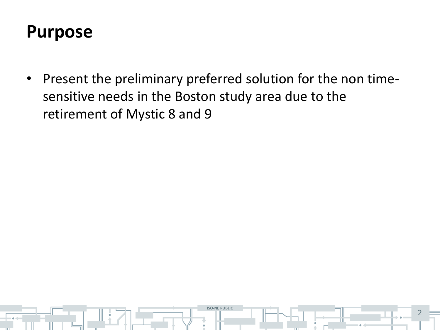### **Purpose**

• Present the preliminary preferred solution for the non timesensitive needs in the Boston study area due to the retirement of Mystic 8 and 9

**ISO-NE PUBLIC**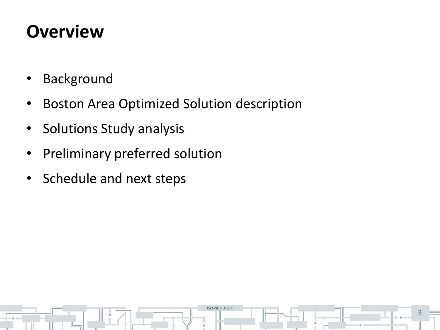## **Overview**

- Background
- Boston Area Optimized Solution description

**ISO-NE PUBLIC**

- Solutions Study analysis
- Preliminary preferred solution
- Schedule and next steps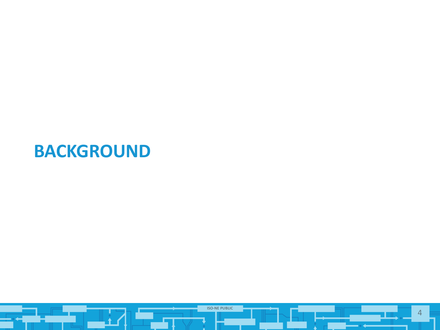#### **BACKGROUND**

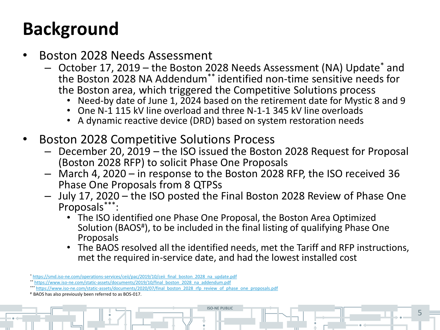## **Background**

- Boston 2028 Needs Assessment
	- October 17, 2019 the Boston 2028 Needs Assessment (NA) Update\* and the Boston 2028 NA Addendum\*\* identified non-time sensitive needs for the Boston area, which triggered the Competitive Solutions process
		- Need-by date of June 1,  $2024$  based on the retirement date for Mystic 8 and 9
		- One N-1 115 kV line overload and three N-1-1 345 kV line overloads
		- A dynamic reactive device (DRD) based on system restoration needs
- Boston 2028 Competitive Solutions Process
	- December 20, 2019 the ISO issued the Boston 2028 Request for Proposal (Boston 2028 RFP) to solicit Phase One Proposals
	- March 4, 2020 in response to the Boston 2028 RFP, the ISO received 36 Phase One Proposals from 8 QTPSs
	- July 17, 2020 the ISO posted the Final Boston 2028 Review of Phase One Proposals\*\*\* :
		- The ISO identified one Phase One Proposal, the Boston Area Optimized Solution (BAOS<sup>#</sup>), to be included in the final listing of qualifying Phase One Proposals

**ISO-NE PUBLIC**

• The BAOS resolved all the identified needs, met the Tariff and RFP instructions, met the required in-service date, and had the lowest installed cost

<sup>\*</sup> [https://smd.iso-ne.com/operations-services/ceii/pac/2019/10/ceii\\_final\\_boston\\_2028\\_na\\_update.pdf](https://smd.iso-ne.com/operations-services/ceii/pac/2019/10/ceii_final_boston_2028_na_update.pdf)

<sup>\*\*</sup> [https://www.iso-ne.com/static-assets/documents/2019/10/final\\_boston\\_2028\\_na\\_addendum.pdf](https://www.iso-ne.com/static-assets/documents/2019/10/final_boston_2028_na_addendum.pdf)

<sup>\*\*\*</sup> [https://www.iso-ne.com/static-assets/documents/2020/07/final\\_boston\\_2028\\_rfp\\_review\\_of\\_phase\\_one\\_proposals.pdf](https://www.iso-ne.com/static-assets/documents/2020/07/final_boston_2028_rfp_review_of_phase_one_proposals.pdf)

<sup>#</sup> BAOS has also previously been referred to as BOS-017.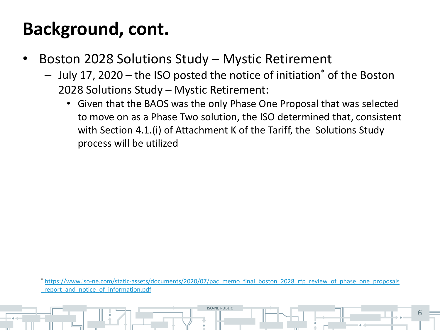## **Background, cont.**

- Boston 2028 Solutions Study Mystic Retirement
	- July 17, 2020 the ISO posted the notice of initiation\* of the Boston 2028 Solutions Study – Mystic Retirement:
		- Given that the BAOS was the only Phase One Proposal that was selected to move on as a Phase Two solution, the ISO determined that, consistent with Section 4.1.(i) of Attachment K of the Tariff, the Solutions Study process will be utilized

\* [https://www.iso-ne.com/static-assets/documents/2020/07/pac\\_memo\\_final\\_boston\\_2028\\_rfp\\_review\\_of\\_phase\\_one\\_proposals](https://www.iso-ne.com/static-assets/documents/2020/07/pac_memo_final_boston_2028_rfp_review_of_phase_one_proposals_report_and_notice_of_information.pdf) report and notice of information.pdf

**ISO-NE PUBLIC**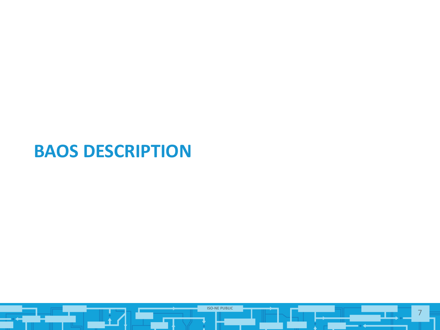#### **BAOS DESCRIPTION**

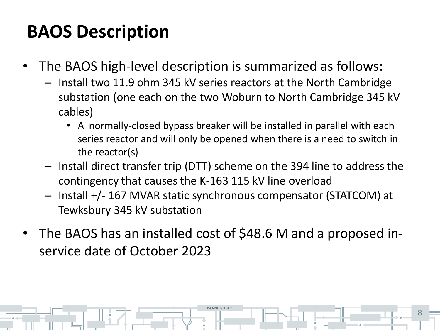# **BAOS Description**

- The BAOS high-level description is summarized as follows:
	- Install two 11.9 ohm 345 kV series reactors at the North Cambridge substation (one each on the two Woburn to North Cambridge 345 kV cables)
		- A normally-closed bypass breaker will be installed in parallel with each series reactor and will only be opened when there is a need to switch in the reactor(s)
	- Install direct transfer trip (DTT) scheme on the 394 line to address the contingency that causes the K-163 115 kV line overload
	- Install +/- 167 MVAR static synchronous compensator (STATCOM) at Tewksbury 345 kV substation
- The BAOS has an installed cost of \$48.6 M and a proposed inservice date of October 2023

**ISO-NE PUBLIC**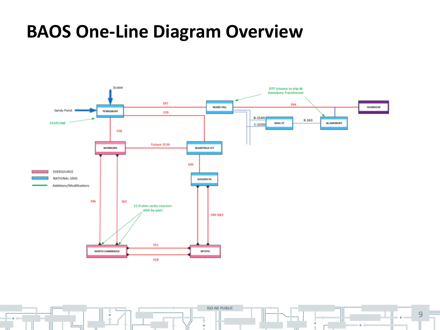#### **BAOS One-Line Diagram Overview**



**ISO-NE PUBLIC** 9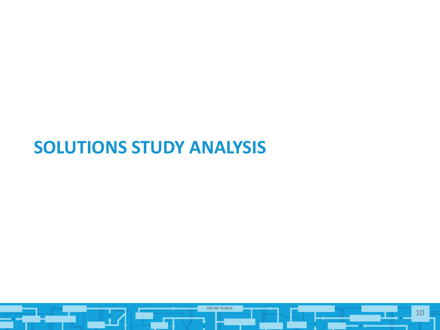#### **SOLUTIONS STUDY ANALYSIS**

![](_page_9_Picture_1.jpeg)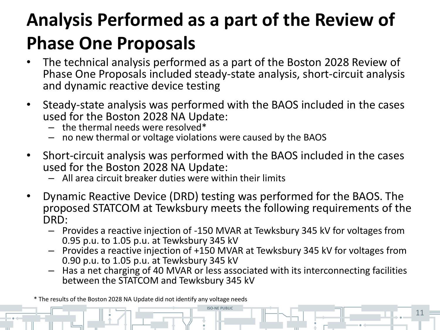# **Analysis Performed as a part of the Review of Phase One Proposals**

- The technical analysis performed as a part of the Boston 2028 Review of Phase One Proposals included steady-state analysis, short-circuit analysis and dynamic reactive device testing
- Steady-state analysis was performed with the BAOS included in the cases used for the Boston 2028 NA Update:
	- $-$  the thermal needs were resolved\*
	- no new thermal or voltage violations were caused by the BAOS
- Short-circuit analysis was performed with the BAOS included in the cases used for the Boston 2028 NA Update:
	- All area circuit breaker duties were within their limits
- Dynamic Reactive Device (DRD) testing was performed for the BAOS. The proposed STATCOM at Tewksbury meets the following requirements of the DRD:
	- Provides a reactive injection of -150 MVAR at Tewksbury 345 kV for voltages from 0.95 p.u. to 1.05 p.u. at Tewksbury 345 kV
	- Provides a reactive injection of +150 MVAR at Tewksbury 345 kV for voltages from 0.90 p.u. to 1.05 p.u. at Tewksbury 345 kV
	- Has a net charging of 40 MVAR or less associated with its interconnecting facilities between the STATCOM and Tewksbury 345 kV

**ISO-NE PUBLIC**

\* The results of the Boston 2028 NA Update did not identify any voltage needs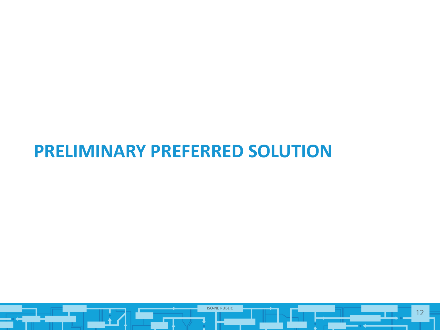#### **PRELIMINARY PREFERRED SOLUTION**

![](_page_11_Picture_1.jpeg)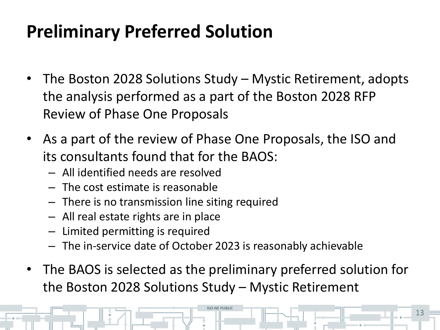# **Preliminary Preferred Solution**

- The Boston 2028 Solutions Study Mystic Retirement, adopts the analysis performed as a part of the Boston 2028 RFP Review of Phase One Proposals
- As a part of the review of Phase One Proposals, the ISO and its consultants found that for the BAOS:
	- All identified needs are resolved
	- The cost estimate is reasonable
	- There is no transmission line siting required
	- All real estate rights are in place
	- Limited permitting is required
	- The in-service date of October 2023 is reasonably achievable
- The BAOS is selected as the preliminary preferred solution for the Boston 2028 Solutions Study – Mystic Retirement

**ISO-NE PUBLIC**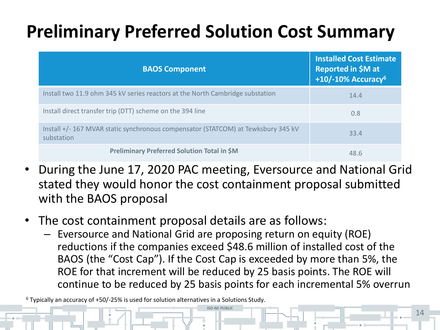# **Preliminary Preferred Solution Cost Summary**

| <b>BAOS Component</b>                                                                           | <b>Installed Cost Estimate</b><br>Reported in \$M at<br>$+10/-10\%$ Accuracy <sup>6</sup> |
|-------------------------------------------------------------------------------------------------|-------------------------------------------------------------------------------------------|
| Install two 11.9 ohm 345 kV series reactors at the North Cambridge substation                   | 14.4                                                                                      |
| Install direct transfer trip (DTT) scheme on the 394 line                                       | 0.8                                                                                       |
| Install +/- 167 MVAR static synchronous compensator (STATCOM) at Tewksbury 345 kV<br>substation | 33.4                                                                                      |
| <b>Preliminary Preferred Solution Total in \$M</b>                                              | 48.6                                                                                      |

- During the June 17, 2020 PAC meeting, Eversource and National Grid stated they would honor the cost containment proposal submitted with the BAOS proposal
- The cost containment proposal details are as follows:
	- Eversource and National Grid are proposing return on equity (ROE) reductions if the companies exceed \$48.6 million of installed cost of the BAOS (the "Cost Cap"). If the Cost Cap is exceeded by more than 5%, the ROE for that increment will be reduced by 25 basis points. The ROE will continue to be reduced by 25 basis points for each incremental 5% overrun

**ISO-NE PUBLIC**

14

<sup>6</sup> Typically an accuracy of +50/-25% is used for solution alternatives in a Solutions Study.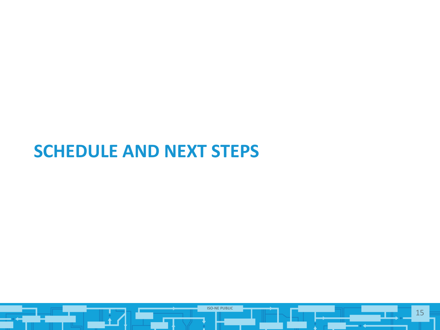#### **SCHEDULE AND NEXT STEPS**

![](_page_14_Picture_1.jpeg)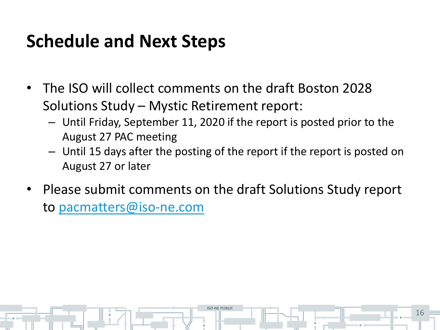## **Schedule and Next Steps**

- The ISO will collect comments on the draft Boston 2028 Solutions Study – Mystic Retirement report:
	- Until Friday, September 11, 2020 if the report is posted prior to the August 27 PAC meeting
	- Until 15 days after the posting of the report if the report is posted on August 27 or later
- Please submit comments on the draft Solutions Study report to [pacmatters@iso-ne.com](mailto:pacmatters@iso-ne.com)

**ISO-NE PUBLIC**